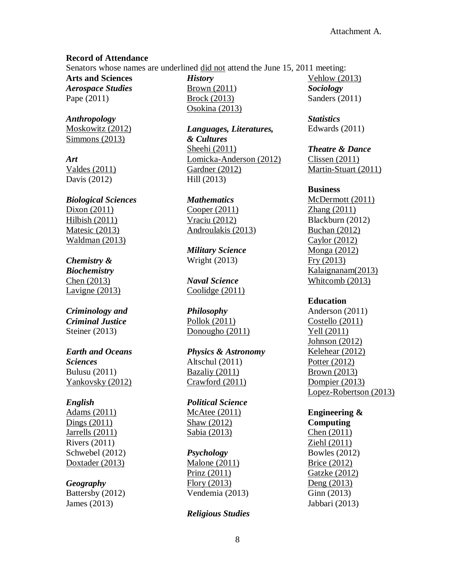### **Record of Attendance**

Senators whose names are underlined did not attend the June 15, 2011 meeting:

**Arts and Sciences** *Aerospace Studies* Pape (2011)

*Anthropology* Moskowitz (2012) Simmons (2013)

*Art* Valdes (2011) Davis (2012)

*Biological Sciences* Dixon (2011) Hilbish (2011) Matesic (2013) Waldman (2013)

# *Chemistry &*

*Biochemistry* Chen (2013) Lavigne (2013)

# *Criminology and Criminal Justice* Steiner (2013)

# *Earth and Oceans Sciences* Bulusu (2011) Yankovsky (2012)

## *English*

Adams (2011) Dings (2011) Jarrells (2011) Rivers (2011) Schwebel (2012) Doxtader (2013)

# *Geography*

Battersby (2012) James (2013)

*History* Brown (2011) Brock (2013) Osokina (2013)

*Languages, Literatures, & Cultures* Sheehi (2011) Lomicka-Anderson (2012) Gardner (2012) Hill (2013)

*Mathematics* Cooper (2011) Vraciu (2012) Androulakis (2013)

*Military Science* Wright (2013)

*Naval Science* Coolidge (2011)

*Philosophy* Pollok (2011) Donougho (2011)

*Physics & Astronomy* Altschul (2011) Bazaliy (2011) Crawford (2011)

*Political Science* McAtee (2011) Shaw (2012) Sabia (2013)

## *Psychology*

Malone (2011) Prinz (2011) Flory (2013) Vendemia (2013)

## *Religious Studies*

Vehlow (2013) *Sociology* Sanders (2011)

*Statistics* Edwards (2011)

*Theatre & Dance* Clissen (2011)

Martin-Stuart (2011)

### **Business**

McDermott (2011) Zhang (2011) Blackburn (2012) Buchan (2012) Caylor (2012) Monga (2012) Fry (2013) Kalaignanam(2013) Whitcomb (2013)

# **Education**

Anderson (2011) Costello (2011) Yell (2011) Johnson (2012) Kelehear (2012) Potter (2012) Brown (2013) Dompier (2013) Lopez-Robertson (2013)

**Engineering & Computing** Chen (2011) Ziehl (2011) Bowles (2012) Brice (2012) Gatzke (2012) Deng (2013) Ginn (2013) Jabbari (2013)